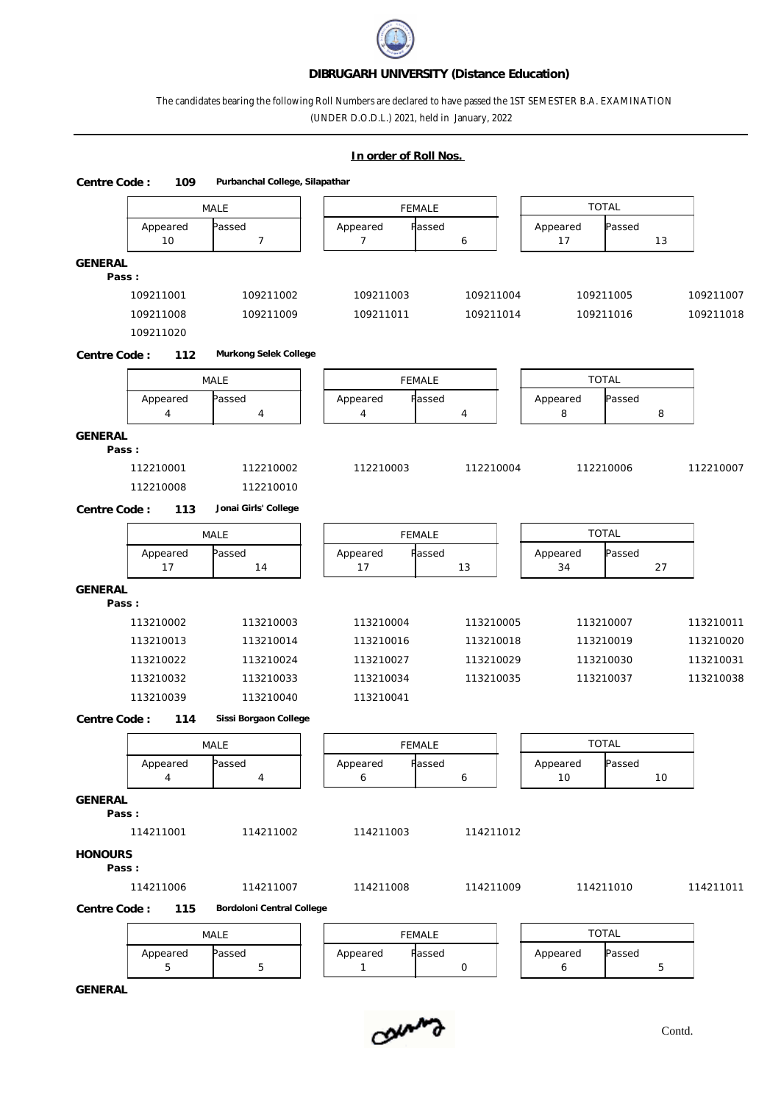### **DIBRUGARH UNIVERSITY (Distance Education)**

## The candidates bearing the following Roll Numbers are declared to have passed the 1ST SEMESTER B.A. EXAMINATION (UNDER D.O.D.L.) 2021, held in January, 2022

# **In order of Roll Nos.**  MALE | | FEMALE | | TOTAL | | Appeared Passed | Appeared Passed | Appeared Passed | 10 7 1 7 6 1 17 13 **Centre Code : 109 Purbanchal College, Silapathar GENERAL Pass :** 109211001 109211002 109211003 109211004 109211005 109211007 109211008 109211009 109211011 109211014 109211016 109211018 109211020 MALE | | FEMALE | | TOTAL | | Appeared Passed | Appeared Passed | Appeared Passed | 4 | 4 | 4 | 4 | 8 | 8 | **Centre Code : 112 Murkong Selek College GENERAL Pass :** 112210001 112210002 112210003 112210004 112210006 112210007 112210008 112210010 MALE FEMALE TOTAL Appeared Passed | | Appeared Passed | | Appeared Passed | 17 | 14 | | 17 | 13 | | 34 | 27 | **Centre Code : 113 Jonai Girls' College GENERAL Pass :** 113210002 113210003 113210004 113210005 113210007 113210011 113210013 113210014 113210016 113210018 113210019 113210020 113210022 113210024 113210027 113210029 113210030 113210031 113210032 113210033 113210034 113210035 113210037 113210038 113210039 113210040 113210041 MALE | | FEMALE | | TOTAL | | Appeared Passed | Appeared Passed | Appeared Passed | 4 | 4 | | 6 | | 10 | 10 | **Centre Code : 114 Sissi Borgaon College GENERAL Pass :** 114211001 114211002 114211003 114211012 **HONOURS Pass :** 114211006 114211007 114211008 114211009 114211010 114211011 MALE FEMALE TOTAL Appeared Passed | Appeared Passed | Appeared Passed | 5 | 5 | | 1 | 0 | | 6 | 5 | **Centre Code : 115 Bordoloni Central College**

**GENERAL**

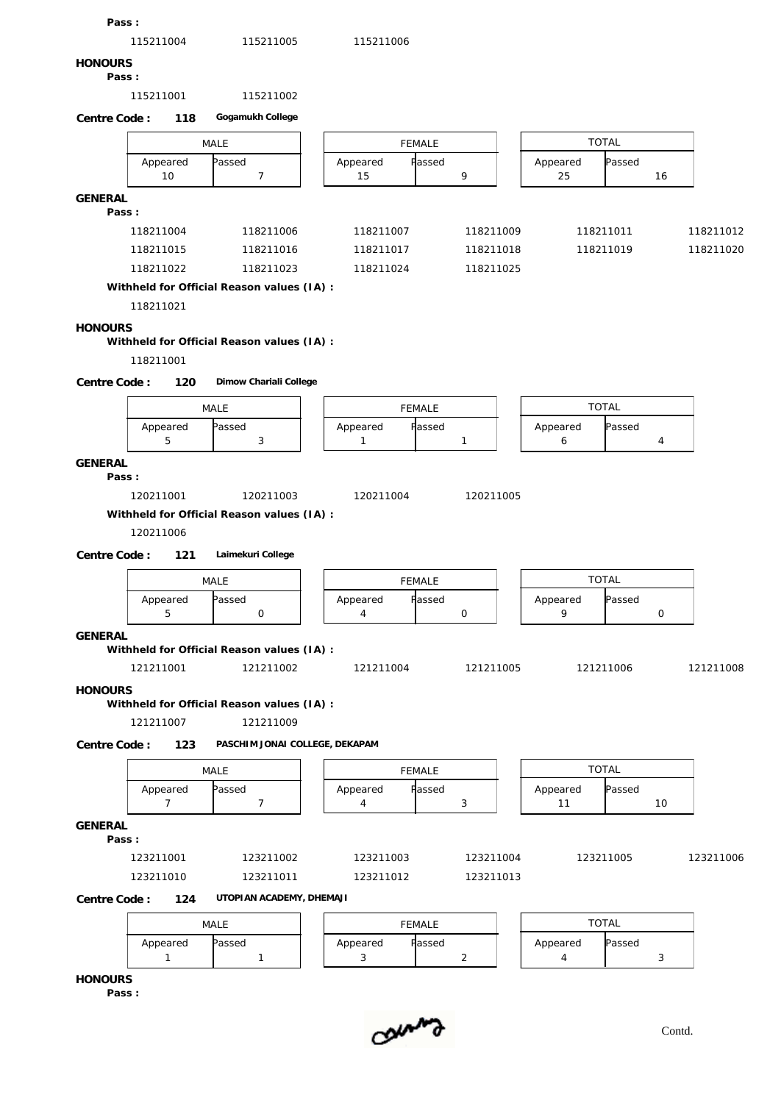| 115211004<br>115211005<br>115211006<br><b>HONOURS</b><br>Pass:<br>115211001<br>115211002<br>Gogamukh College<br>Centre Code:<br>118<br><b>TOTAL</b><br>MALE<br><b>FEMALE</b><br>Passed<br>Appeared<br>Passed<br>Appeared<br>Appeared<br>Passed<br>$\overline{7}$<br>9<br>10<br>15<br>25<br>16<br><b>GENERAL</b><br>Pass:<br>118211004<br>118211006<br>118211007<br>118211009<br>118211011<br>118211012<br>118211015<br>118211016<br>118211017<br>118211019<br>118211020<br>118211018<br>118211022<br>118211023<br>118211024<br>118211025<br>Withheld for Official Reason values (IA) :<br>118211021<br><b>HONOURS</b><br>Withheld for Official Reason values (IA) :<br>118211001<br>Dimow Chariali College<br>Centre Code:<br>120<br><b>TOTAL</b><br>MALE<br><b>FEMALE</b><br>Appeared<br>Passed<br>Appeared<br>Passed<br>Passed<br>Appeared<br>5<br>3<br>6<br>1<br>$\mathbf{1}$<br>4<br>GENERAL<br>Pass:<br>120211001<br>120211003<br>120211004<br>120211005<br>Withheld for Official Reason values (IA) :<br>120211006<br>Laimekuri College<br>Centre Code:<br>121<br><b>TOTAL</b><br>MALE<br>FEMALE<br>Passed<br>Passed<br>Appeared<br>assed<br>Appeared<br>Appeared<br>9<br>5<br>$\circ$<br>$\mathsf{O}$<br>$\circ$<br>4<br>GENERAL<br>Withheld for Official Reason values (IA) :<br>121211001<br>121211002<br>121211005<br>121211006<br>121211008<br>121211004<br><b>HONOURS</b><br>Withheld for Official Reason values (IA) :<br>121211009<br>121211007<br>PASCHIM JONAI COLLEGE, DEKAPAM<br>Centre Code:<br>123<br><b>TOTAL</b><br>FEMALE<br>MALE<br>Appeared<br>Passed<br>Appeared<br>Passed<br>Appeared<br>Passed<br>$\overline{7}$<br>$\overline{7}$<br>4<br>3<br>11<br>10<br>GENERAL<br>Pass:<br>123211001<br>123211006<br>123211002<br>123211003<br>123211004<br>123211005<br>123211010<br>123211011<br>123211012<br>123211013<br>UTOPI AN ACADEMY, DHEMAJI<br>Centre Code:<br>124<br><b>TOTAL</b><br><b>FEMALE</b><br>MALE<br>Fassed<br>Appeared<br>Appeared<br>Appeared<br>Passed<br>Passed<br>3<br>$\mathbf{1}$<br>$\overline{2}$<br>$\overline{4}$<br>3<br>$\mathbf{1}$<br><b>HONOURS</b> | Pass: |  |  |  |  |  |  |
|-----------------------------------------------------------------------------------------------------------------------------------------------------------------------------------------------------------------------------------------------------------------------------------------------------------------------------------------------------------------------------------------------------------------------------------------------------------------------------------------------------------------------------------------------------------------------------------------------------------------------------------------------------------------------------------------------------------------------------------------------------------------------------------------------------------------------------------------------------------------------------------------------------------------------------------------------------------------------------------------------------------------------------------------------------------------------------------------------------------------------------------------------------------------------------------------------------------------------------------------------------------------------------------------------------------------------------------------------------------------------------------------------------------------------------------------------------------------------------------------------------------------------------------------------------------------------------------------------------------------------------------------------------------------------------------------------------------------------------------------------------------------------------------------------------------------------------------------------------------------------------------------------------------------------------------------------------------------------------------------------------------------------------------------------------------------------------------------------------------|-------|--|--|--|--|--|--|
|                                                                                                                                                                                                                                                                                                                                                                                                                                                                                                                                                                                                                                                                                                                                                                                                                                                                                                                                                                                                                                                                                                                                                                                                                                                                                                                                                                                                                                                                                                                                                                                                                                                                                                                                                                                                                                                                                                                                                                                                                                                                                                           |       |  |  |  |  |  |  |
|                                                                                                                                                                                                                                                                                                                                                                                                                                                                                                                                                                                                                                                                                                                                                                                                                                                                                                                                                                                                                                                                                                                                                                                                                                                                                                                                                                                                                                                                                                                                                                                                                                                                                                                                                                                                                                                                                                                                                                                                                                                                                                           |       |  |  |  |  |  |  |
|                                                                                                                                                                                                                                                                                                                                                                                                                                                                                                                                                                                                                                                                                                                                                                                                                                                                                                                                                                                                                                                                                                                                                                                                                                                                                                                                                                                                                                                                                                                                                                                                                                                                                                                                                                                                                                                                                                                                                                                                                                                                                                           |       |  |  |  |  |  |  |
|                                                                                                                                                                                                                                                                                                                                                                                                                                                                                                                                                                                                                                                                                                                                                                                                                                                                                                                                                                                                                                                                                                                                                                                                                                                                                                                                                                                                                                                                                                                                                                                                                                                                                                                                                                                                                                                                                                                                                                                                                                                                                                           |       |  |  |  |  |  |  |
|                                                                                                                                                                                                                                                                                                                                                                                                                                                                                                                                                                                                                                                                                                                                                                                                                                                                                                                                                                                                                                                                                                                                                                                                                                                                                                                                                                                                                                                                                                                                                                                                                                                                                                                                                                                                                                                                                                                                                                                                                                                                                                           |       |  |  |  |  |  |  |
|                                                                                                                                                                                                                                                                                                                                                                                                                                                                                                                                                                                                                                                                                                                                                                                                                                                                                                                                                                                                                                                                                                                                                                                                                                                                                                                                                                                                                                                                                                                                                                                                                                                                                                                                                                                                                                                                                                                                                                                                                                                                                                           |       |  |  |  |  |  |  |
|                                                                                                                                                                                                                                                                                                                                                                                                                                                                                                                                                                                                                                                                                                                                                                                                                                                                                                                                                                                                                                                                                                                                                                                                                                                                                                                                                                                                                                                                                                                                                                                                                                                                                                                                                                                                                                                                                                                                                                                                                                                                                                           |       |  |  |  |  |  |  |
|                                                                                                                                                                                                                                                                                                                                                                                                                                                                                                                                                                                                                                                                                                                                                                                                                                                                                                                                                                                                                                                                                                                                                                                                                                                                                                                                                                                                                                                                                                                                                                                                                                                                                                                                                                                                                                                                                                                                                                                                                                                                                                           |       |  |  |  |  |  |  |
|                                                                                                                                                                                                                                                                                                                                                                                                                                                                                                                                                                                                                                                                                                                                                                                                                                                                                                                                                                                                                                                                                                                                                                                                                                                                                                                                                                                                                                                                                                                                                                                                                                                                                                                                                                                                                                                                                                                                                                                                                                                                                                           |       |  |  |  |  |  |  |
|                                                                                                                                                                                                                                                                                                                                                                                                                                                                                                                                                                                                                                                                                                                                                                                                                                                                                                                                                                                                                                                                                                                                                                                                                                                                                                                                                                                                                                                                                                                                                                                                                                                                                                                                                                                                                                                                                                                                                                                                                                                                                                           |       |  |  |  |  |  |  |
|                                                                                                                                                                                                                                                                                                                                                                                                                                                                                                                                                                                                                                                                                                                                                                                                                                                                                                                                                                                                                                                                                                                                                                                                                                                                                                                                                                                                                                                                                                                                                                                                                                                                                                                                                                                                                                                                                                                                                                                                                                                                                                           |       |  |  |  |  |  |  |
|                                                                                                                                                                                                                                                                                                                                                                                                                                                                                                                                                                                                                                                                                                                                                                                                                                                                                                                                                                                                                                                                                                                                                                                                                                                                                                                                                                                                                                                                                                                                                                                                                                                                                                                                                                                                                                                                                                                                                                                                                                                                                                           |       |  |  |  |  |  |  |
|                                                                                                                                                                                                                                                                                                                                                                                                                                                                                                                                                                                                                                                                                                                                                                                                                                                                                                                                                                                                                                                                                                                                                                                                                                                                                                                                                                                                                                                                                                                                                                                                                                                                                                                                                                                                                                                                                                                                                                                                                                                                                                           |       |  |  |  |  |  |  |
|                                                                                                                                                                                                                                                                                                                                                                                                                                                                                                                                                                                                                                                                                                                                                                                                                                                                                                                                                                                                                                                                                                                                                                                                                                                                                                                                                                                                                                                                                                                                                                                                                                                                                                                                                                                                                                                                                                                                                                                                                                                                                                           |       |  |  |  |  |  |  |
|                                                                                                                                                                                                                                                                                                                                                                                                                                                                                                                                                                                                                                                                                                                                                                                                                                                                                                                                                                                                                                                                                                                                                                                                                                                                                                                                                                                                                                                                                                                                                                                                                                                                                                                                                                                                                                                                                                                                                                                                                                                                                                           |       |  |  |  |  |  |  |
|                                                                                                                                                                                                                                                                                                                                                                                                                                                                                                                                                                                                                                                                                                                                                                                                                                                                                                                                                                                                                                                                                                                                                                                                                                                                                                                                                                                                                                                                                                                                                                                                                                                                                                                                                                                                                                                                                                                                                                                                                                                                                                           |       |  |  |  |  |  |  |
|                                                                                                                                                                                                                                                                                                                                                                                                                                                                                                                                                                                                                                                                                                                                                                                                                                                                                                                                                                                                                                                                                                                                                                                                                                                                                                                                                                                                                                                                                                                                                                                                                                                                                                                                                                                                                                                                                                                                                                                                                                                                                                           |       |  |  |  |  |  |  |
|                                                                                                                                                                                                                                                                                                                                                                                                                                                                                                                                                                                                                                                                                                                                                                                                                                                                                                                                                                                                                                                                                                                                                                                                                                                                                                                                                                                                                                                                                                                                                                                                                                                                                                                                                                                                                                                                                                                                                                                                                                                                                                           |       |  |  |  |  |  |  |
|                                                                                                                                                                                                                                                                                                                                                                                                                                                                                                                                                                                                                                                                                                                                                                                                                                                                                                                                                                                                                                                                                                                                                                                                                                                                                                                                                                                                                                                                                                                                                                                                                                                                                                                                                                                                                                                                                                                                                                                                                                                                                                           |       |  |  |  |  |  |  |
|                                                                                                                                                                                                                                                                                                                                                                                                                                                                                                                                                                                                                                                                                                                                                                                                                                                                                                                                                                                                                                                                                                                                                                                                                                                                                                                                                                                                                                                                                                                                                                                                                                                                                                                                                                                                                                                                                                                                                                                                                                                                                                           |       |  |  |  |  |  |  |
|                                                                                                                                                                                                                                                                                                                                                                                                                                                                                                                                                                                                                                                                                                                                                                                                                                                                                                                                                                                                                                                                                                                                                                                                                                                                                                                                                                                                                                                                                                                                                                                                                                                                                                                                                                                                                                                                                                                                                                                                                                                                                                           |       |  |  |  |  |  |  |
|                                                                                                                                                                                                                                                                                                                                                                                                                                                                                                                                                                                                                                                                                                                                                                                                                                                                                                                                                                                                                                                                                                                                                                                                                                                                                                                                                                                                                                                                                                                                                                                                                                                                                                                                                                                                                                                                                                                                                                                                                                                                                                           |       |  |  |  |  |  |  |
|                                                                                                                                                                                                                                                                                                                                                                                                                                                                                                                                                                                                                                                                                                                                                                                                                                                                                                                                                                                                                                                                                                                                                                                                                                                                                                                                                                                                                                                                                                                                                                                                                                                                                                                                                                                                                                                                                                                                                                                                                                                                                                           |       |  |  |  |  |  |  |
|                                                                                                                                                                                                                                                                                                                                                                                                                                                                                                                                                                                                                                                                                                                                                                                                                                                                                                                                                                                                                                                                                                                                                                                                                                                                                                                                                                                                                                                                                                                                                                                                                                                                                                                                                                                                                                                                                                                                                                                                                                                                                                           |       |  |  |  |  |  |  |
|                                                                                                                                                                                                                                                                                                                                                                                                                                                                                                                                                                                                                                                                                                                                                                                                                                                                                                                                                                                                                                                                                                                                                                                                                                                                                                                                                                                                                                                                                                                                                                                                                                                                                                                                                                                                                                                                                                                                                                                                                                                                                                           |       |  |  |  |  |  |  |
|                                                                                                                                                                                                                                                                                                                                                                                                                                                                                                                                                                                                                                                                                                                                                                                                                                                                                                                                                                                                                                                                                                                                                                                                                                                                                                                                                                                                                                                                                                                                                                                                                                                                                                                                                                                                                                                                                                                                                                                                                                                                                                           |       |  |  |  |  |  |  |
|                                                                                                                                                                                                                                                                                                                                                                                                                                                                                                                                                                                                                                                                                                                                                                                                                                                                                                                                                                                                                                                                                                                                                                                                                                                                                                                                                                                                                                                                                                                                                                                                                                                                                                                                                                                                                                                                                                                                                                                                                                                                                                           |       |  |  |  |  |  |  |
|                                                                                                                                                                                                                                                                                                                                                                                                                                                                                                                                                                                                                                                                                                                                                                                                                                                                                                                                                                                                                                                                                                                                                                                                                                                                                                                                                                                                                                                                                                                                                                                                                                                                                                                                                                                                                                                                                                                                                                                                                                                                                                           |       |  |  |  |  |  |  |
|                                                                                                                                                                                                                                                                                                                                                                                                                                                                                                                                                                                                                                                                                                                                                                                                                                                                                                                                                                                                                                                                                                                                                                                                                                                                                                                                                                                                                                                                                                                                                                                                                                                                                                                                                                                                                                                                                                                                                                                                                                                                                                           |       |  |  |  |  |  |  |
|                                                                                                                                                                                                                                                                                                                                                                                                                                                                                                                                                                                                                                                                                                                                                                                                                                                                                                                                                                                                                                                                                                                                                                                                                                                                                                                                                                                                                                                                                                                                                                                                                                                                                                                                                                                                                                                                                                                                                                                                                                                                                                           |       |  |  |  |  |  |  |
|                                                                                                                                                                                                                                                                                                                                                                                                                                                                                                                                                                                                                                                                                                                                                                                                                                                                                                                                                                                                                                                                                                                                                                                                                                                                                                                                                                                                                                                                                                                                                                                                                                                                                                                                                                                                                                                                                                                                                                                                                                                                                                           |       |  |  |  |  |  |  |
|                                                                                                                                                                                                                                                                                                                                                                                                                                                                                                                                                                                                                                                                                                                                                                                                                                                                                                                                                                                                                                                                                                                                                                                                                                                                                                                                                                                                                                                                                                                                                                                                                                                                                                                                                                                                                                                                                                                                                                                                                                                                                                           |       |  |  |  |  |  |  |
|                                                                                                                                                                                                                                                                                                                                                                                                                                                                                                                                                                                                                                                                                                                                                                                                                                                                                                                                                                                                                                                                                                                                                                                                                                                                                                                                                                                                                                                                                                                                                                                                                                                                                                                                                                                                                                                                                                                                                                                                                                                                                                           |       |  |  |  |  |  |  |
|                                                                                                                                                                                                                                                                                                                                                                                                                                                                                                                                                                                                                                                                                                                                                                                                                                                                                                                                                                                                                                                                                                                                                                                                                                                                                                                                                                                                                                                                                                                                                                                                                                                                                                                                                                                                                                                                                                                                                                                                                                                                                                           |       |  |  |  |  |  |  |
|                                                                                                                                                                                                                                                                                                                                                                                                                                                                                                                                                                                                                                                                                                                                                                                                                                                                                                                                                                                                                                                                                                                                                                                                                                                                                                                                                                                                                                                                                                                                                                                                                                                                                                                                                                                                                                                                                                                                                                                                                                                                                                           |       |  |  |  |  |  |  |
|                                                                                                                                                                                                                                                                                                                                                                                                                                                                                                                                                                                                                                                                                                                                                                                                                                                                                                                                                                                                                                                                                                                                                                                                                                                                                                                                                                                                                                                                                                                                                                                                                                                                                                                                                                                                                                                                                                                                                                                                                                                                                                           |       |  |  |  |  |  |  |
|                                                                                                                                                                                                                                                                                                                                                                                                                                                                                                                                                                                                                                                                                                                                                                                                                                                                                                                                                                                                                                                                                                                                                                                                                                                                                                                                                                                                                                                                                                                                                                                                                                                                                                                                                                                                                                                                                                                                                                                                                                                                                                           |       |  |  |  |  |  |  |
|                                                                                                                                                                                                                                                                                                                                                                                                                                                                                                                                                                                                                                                                                                                                                                                                                                                                                                                                                                                                                                                                                                                                                                                                                                                                                                                                                                                                                                                                                                                                                                                                                                                                                                                                                                                                                                                                                                                                                                                                                                                                                                           |       |  |  |  |  |  |  |
|                                                                                                                                                                                                                                                                                                                                                                                                                                                                                                                                                                                                                                                                                                                                                                                                                                                                                                                                                                                                                                                                                                                                                                                                                                                                                                                                                                                                                                                                                                                                                                                                                                                                                                                                                                                                                                                                                                                                                                                                                                                                                                           |       |  |  |  |  |  |  |
|                                                                                                                                                                                                                                                                                                                                                                                                                                                                                                                                                                                                                                                                                                                                                                                                                                                                                                                                                                                                                                                                                                                                                                                                                                                                                                                                                                                                                                                                                                                                                                                                                                                                                                                                                                                                                                                                                                                                                                                                                                                                                                           |       |  |  |  |  |  |  |
|                                                                                                                                                                                                                                                                                                                                                                                                                                                                                                                                                                                                                                                                                                                                                                                                                                                                                                                                                                                                                                                                                                                                                                                                                                                                                                                                                                                                                                                                                                                                                                                                                                                                                                                                                                                                                                                                                                                                                                                                                                                                                                           |       |  |  |  |  |  |  |
|                                                                                                                                                                                                                                                                                                                                                                                                                                                                                                                                                                                                                                                                                                                                                                                                                                                                                                                                                                                                                                                                                                                                                                                                                                                                                                                                                                                                                                                                                                                                                                                                                                                                                                                                                                                                                                                                                                                                                                                                                                                                                                           |       |  |  |  |  |  |  |
|                                                                                                                                                                                                                                                                                                                                                                                                                                                                                                                                                                                                                                                                                                                                                                                                                                                                                                                                                                                                                                                                                                                                                                                                                                                                                                                                                                                                                                                                                                                                                                                                                                                                                                                                                                                                                                                                                                                                                                                                                                                                                                           |       |  |  |  |  |  |  |
|                                                                                                                                                                                                                                                                                                                                                                                                                                                                                                                                                                                                                                                                                                                                                                                                                                                                                                                                                                                                                                                                                                                                                                                                                                                                                                                                                                                                                                                                                                                                                                                                                                                                                                                                                                                                                                                                                                                                                                                                                                                                                                           |       |  |  |  |  |  |  |
|                                                                                                                                                                                                                                                                                                                                                                                                                                                                                                                                                                                                                                                                                                                                                                                                                                                                                                                                                                                                                                                                                                                                                                                                                                                                                                                                                                                                                                                                                                                                                                                                                                                                                                                                                                                                                                                                                                                                                                                                                                                                                                           |       |  |  |  |  |  |  |
|                                                                                                                                                                                                                                                                                                                                                                                                                                                                                                                                                                                                                                                                                                                                                                                                                                                                                                                                                                                                                                                                                                                                                                                                                                                                                                                                                                                                                                                                                                                                                                                                                                                                                                                                                                                                                                                                                                                                                                                                                                                                                                           |       |  |  |  |  |  |  |

**Pass :**

comma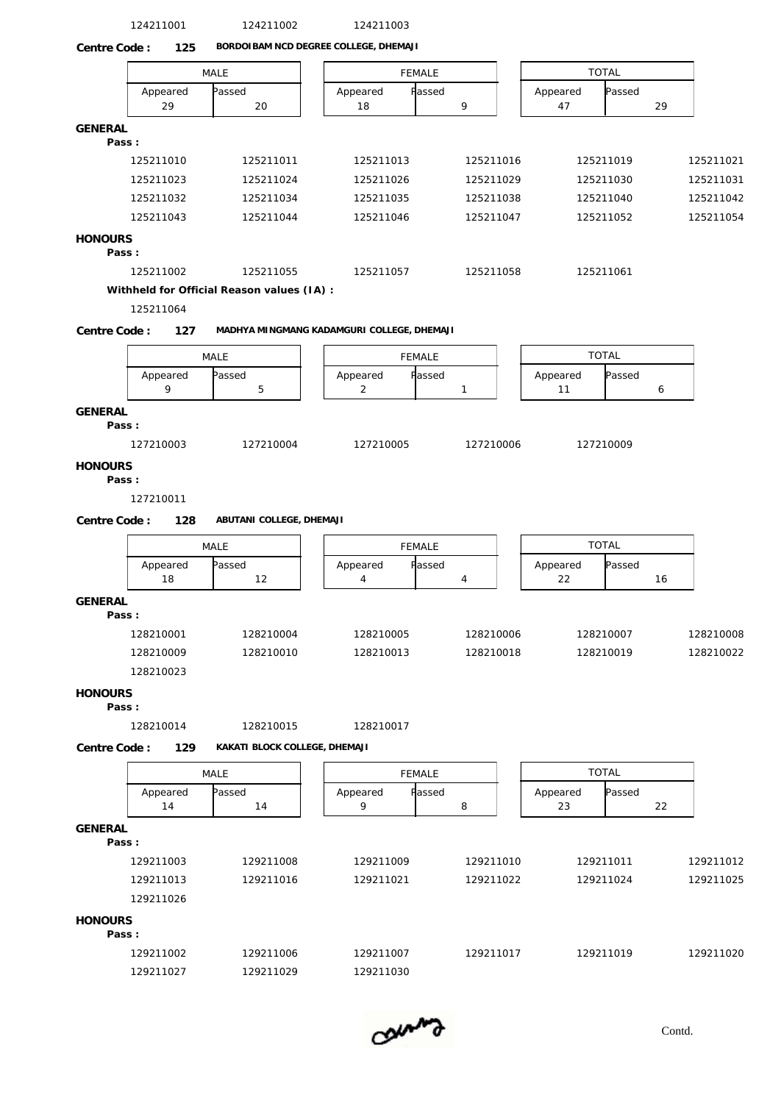124211001 124211002 124211003 MALE | | FEMALE | | TOTAL | Appeared Passed | Appeared Passed | Appeared Passed | 29 | 20 | | 18 | 9 | | 47 | 29 | **Centre Code : 125 BORDOIBAM NCD DEGREE COLLEGE, DHEMAJI GENERAL Pass :** 125211010 125211011 125211013 125211016 125211019 125211021 125211023 125211024 125211026 125211029 125211030 125211031 125211032 125211034 125211035 125211038 125211040 125211042 125211043 125211044 125211046 125211047 125211052 125211054 **HONOURS Pass :** 125211002 125211055 125211057 125211058 125211061 **Withheld for Official Reason values (IA) :** 125211064 MALE FEMALE TOTAL Appeared Passed | Appeared Passed | Appeared Passed | 9 | 5 | | 2 | 1 | | 11 | 6 | **Centre Code : 127 MADHYA MINGMANG KADAMGURI COLLEGE, DHEMAJI GENERAL Pass :** 127210003 127210004 127210005 127210006 127210009 **HONOURS Pass :** 127210011 MALE | | FEMALE | | TOTAL | Appeared Passed | Appeared Passed | Appeared Passed | 18 | 12 | | 4 | | 4 | | 22 | 16 | **Centre Code : 128 ABUTANI COLLEGE, DHEMAJI GENERAL Pass :** 128210001 128210004 128210005 128210006 128210007 128210008 128210009 128210010 128210013 128210018 128210019 128210022 128210023 **HONOURS Pass :** 128210014 128210015 128210017 MALE FEMALE TOTAL Appeared Passed | | Appeared Passed | | Appeared Passed | 14 | 14 | 9 | 8 | | 23 | 22 | **Centre Code : 129 KAKATI BLOCK COLLEGE, DHEMAJI GENERAL Pass :** 129211003 129211008 129211009 129211010 129211011 129211012 129211013 129211016 129211021 129211022 129211024 129211025 129211026 **HONOURS Pass :** 129211002 129211006 129211007 129211017 129211019 129211020 129211027 129211029 129211030

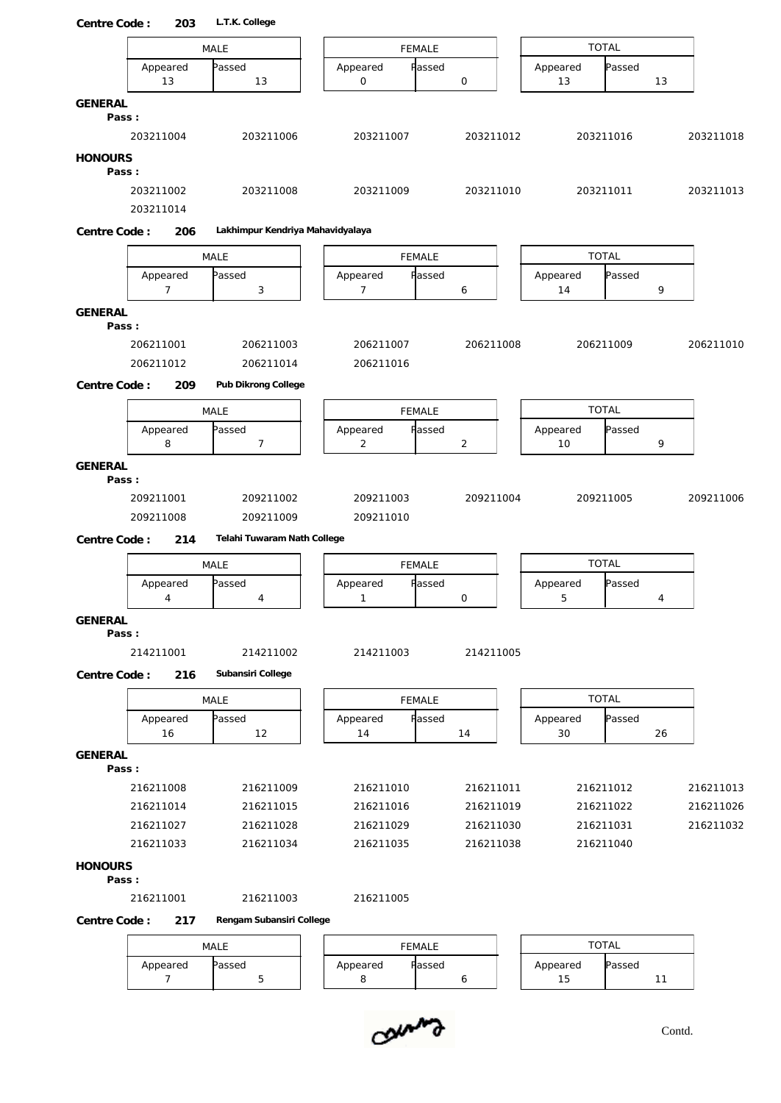| Centre Code:            | 203                    | L.T.K. College                   |                            |               |                |                |              |    |           |
|-------------------------|------------------------|----------------------------------|----------------------------|---------------|----------------|----------------|--------------|----|-----------|
|                         |                        | MALE                             |                            | <b>FEMALE</b> |                |                | <b>TOTAL</b> |    |           |
|                         | Appeared<br>13         | Passed<br>13                     | Appeared<br>$\mathsf O$    | Passed        | $\mathsf O$    | Appeared<br>13 | Passed       | 13 |           |
| GENERAL                 |                        |                                  |                            |               |                |                |              |    |           |
| Pass:                   | 203211004              | 203211006                        | 203211007                  |               | 203211012      |                | 203211016    |    | 203211018 |
|                         |                        |                                  |                            |               |                |                |              |    |           |
| <b>HONOURS</b><br>Pass: |                        |                                  |                            |               |                |                |              |    |           |
|                         | 203211002<br>203211014 | 203211008                        | 203211009                  |               | 203211010      |                | 203211011    |    | 203211013 |
| Centre Code:            | 206                    | Lakhimpur Kendriya Mahavidyalaya |                            |               |                |                |              |    |           |
|                         |                        | MALE                             |                            | FEMALE        |                |                | <b>TOTAL</b> |    |           |
|                         | Appeared               | Passed                           | Appeared                   | Passed        |                | Appeared       | Passed       |    |           |
|                         | $\overline{7}$         | 3                                | $\overline{7}$             |               | 6              | 14             |              | 9  |           |
| GENERAL                 |                        |                                  |                            |               |                |                |              |    |           |
| Pass:                   | 206211001              | 206211003                        | 206211007                  |               | 206211008      |                |              |    |           |
|                         | 206211012              | 206211014                        | 206211016                  |               |                |                | 206211009    |    | 206211010 |
| Centre Code:            | 209                    | Pub Dikrong College              |                            |               |                |                |              |    |           |
|                         |                        |                                  |                            |               |                |                |              |    |           |
|                         |                        | MALE                             |                            | <b>FEMALE</b> |                |                | <b>TOTAL</b> |    |           |
|                         | Appeared<br>8          | Passed<br>$\overline{7}$         | Appeared<br>$\overline{c}$ | Passed        | $\overline{c}$ | Appeared<br>10 | Passed       | 9  |           |
| <b>GENERAL</b>          |                        |                                  |                            |               |                |                |              |    |           |
| Pass:                   |                        |                                  |                            |               |                |                |              |    |           |
|                         | 209211001              | 209211002                        | 209211003                  |               | 209211004      |                | 209211005    |    | 209211006 |
|                         | 209211008              | 209211009                        | 209211010                  |               |                |                |              |    |           |
| Centre Code:            | 214                    | Telahi Tuwaram Nath College      |                            |               |                |                |              |    |           |
|                         |                        | MALE                             |                            | FEMALE        |                |                | <b>TOTAL</b> |    |           |
|                         | Appeared               | Passed                           | Appeared                   | Fassed        |                | Appeared       | Passed       |    |           |
|                         | 4                      | 4                                | $\mathbf{1}$               |               | 0              | 5              |              | 4  |           |
| GENERAL                 |                        |                                  |                            |               |                |                |              |    |           |
| Pass:                   | 214211001              | 214211002                        | 214211003                  |               | 214211005      |                |              |    |           |
|                         | 216                    | Subansiri College                |                            |               |                |                |              |    |           |
| Centre Code:            |                        |                                  |                            |               |                |                |              |    |           |
|                         |                        | MALE                             |                            | FEMALE        |                |                | <b>TOTAL</b> |    |           |
|                         | Appeared<br>16         | Passed<br>12                     | Appeared<br>14             | Passed        | 14             | Appeared<br>30 | Passed       | 26 |           |
| GENERAL                 |                        |                                  |                            |               |                |                |              |    |           |
| Pass:                   |                        |                                  |                            |               |                |                |              |    |           |
|                         | 216211008              | 216211009                        | 216211010                  |               | 216211011      |                | 216211012    |    | 216211013 |
|                         | 216211014              | 216211015                        | 216211016                  |               | 216211019      |                | 216211022    |    | 216211026 |
|                         | 216211027              | 216211028                        | 216211029                  |               | 216211030      |                | 216211031    |    | 216211032 |
|                         | 216211033              | 216211034                        | 216211035                  |               | 216211038      |                | 216211040    |    |           |
| <b>HONOURS</b><br>Pass: |                        |                                  |                            |               |                |                |              |    |           |
|                         | 216211001              | 216211003                        | 216211005                  |               |                |                |              |    |           |
| Centre Code:            | 217                    | Rengam Subansiri College         |                            |               |                |                |              |    |           |
|                         |                        | MALE                             |                            | FEMALE        |                |                | <b>TOTAL</b> |    |           |
|                         | Appeared               | Passed                           | Appeared                   | Passed        |                | Appeared       | Passed       |    |           |
|                         | $\overline{7}$         | 5                                | 8                          |               | 6              | $15$           |              | 11 |           |

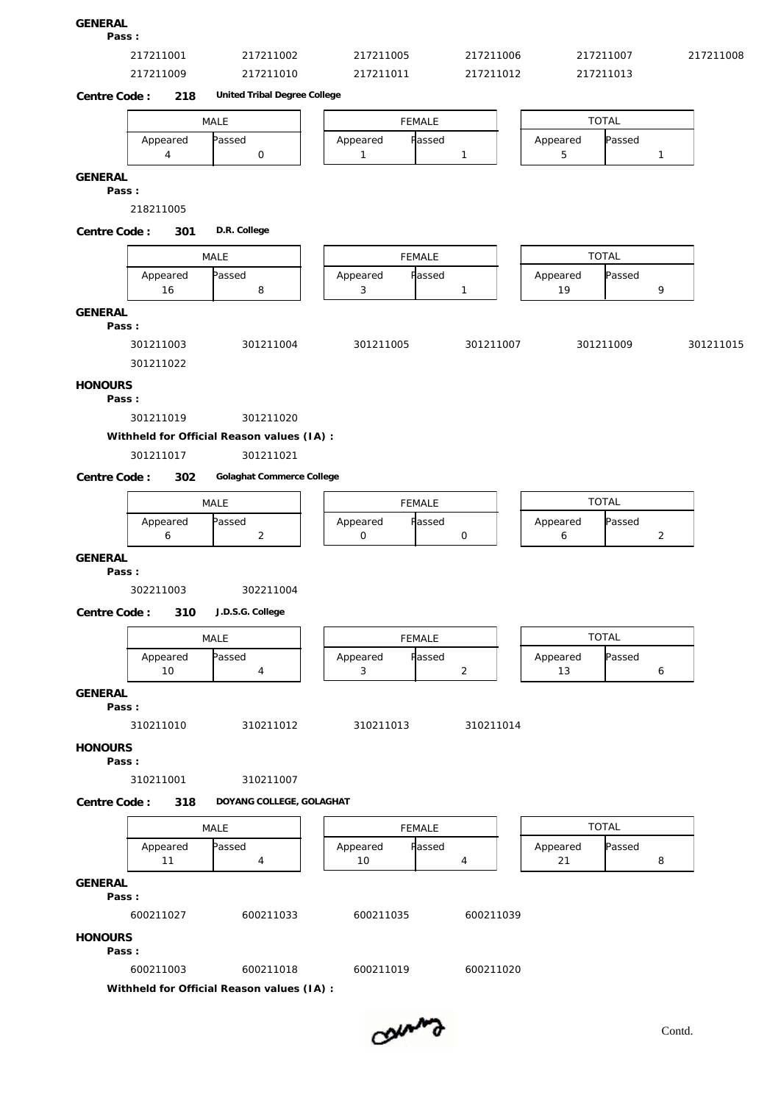## **GENERAL**

**Pass :**

| 217211001<br>$\sim$ $\sim$ $\sim$ | 100 <sup>2</sup><br>◡◡∠ | 1005<br>$\sqrt{1}$<br>$\mathbf{A}$<br>$\begin{array}{cccccccccc} \multicolumn{4}{c}{} & \multicolumn{4}{c}{} & \multicolumn{4}{c}{} & \multicolumn{4}{c}{} & \multicolumn{4}{c}{} & \multicolumn{4}{c}{} & \multicolumn{4}{c}{} & \multicolumn{4}{c}{} & \multicolumn{4}{c}{} & \multicolumn{4}{c}{} & \multicolumn{4}{c}{} & \multicolumn{4}{c}{} & \multicolumn{4}{c}{} & \multicolumn{4}{c}{} & \multicolumn{4}{c}{} & \multicolumn{4}{c}{} & \multicolumn{4}{c}{} & \multicolumn{4}{c}{} & \multicolumn{4}{c}{} & \mult$ | ി∩∩ `<br>uun<br>$\sim$ $\sim$ $\sim$ | $\sim$ $\sim$ $\sim$<br>, , , , , ,<br>the contract of the contract of the contract of the contract of the contract of the contract of the contract of | 1008<br>$\sim$ $\sim$ $\sim$ |
|-----------------------------------|-------------------------|------------------------------------------------------------------------------------------------------------------------------------------------------------------------------------------------------------------------------------------------------------------------------------------------------------------------------------------------------------------------------------------------------------------------------------------------------------------------------------------------------------------------------|--------------------------------------|--------------------------------------------------------------------------------------------------------------------------------------------------------|------------------------------|
| 217211009                         | 1010                    | 1211011<br>ົາ                                                                                                                                                                                                                                                                                                                                                                                                                                                                                                                | ∣∩1 ?<br>7011                        | $\sim$ $\sim$                                                                                                                                          |                              |

**Centre Code : 218 United Tribal Degree College**

|          | MALE   |                            | <b>FEMALE</b> |          | <b>TOTAL</b> |  |  |  |  |
|----------|--------|----------------------------|---------------|----------|--------------|--|--|--|--|
| Appeared | Passed | <b>F</b> assed<br>Appeared |               | Appeared | Passed       |  |  |  |  |
|          |        |                            |               |          |              |  |  |  |  |

**GENERAL**

**Pass :**

218211005

**Centre Code : 301 D.R. College**

**Pass :**

| 301211003                                 | 301211004 | 301211005                                        | 301211007 | 301211009 | 301211015 |
|-------------------------------------------|-----------|--------------------------------------------------|-----------|-----------|-----------|
| $\sim$ $\sim$ $\sim$ $\sim$ $\sim$ $\sim$ |           | $\sim$ $\sim$ $\sim$ $\sim$ $\sim$ $\sim$ $\sim$ |           |           |           |
| 301211022                                 |           |                                                  |           |           |           |

### **HONOURS**

**Pass :**

301211019 301211020

**Withheld for Official Reason values (IA) :**

### 301211017 301211021

**Centre Code : 302 Golaghat Commerce College**

|          | MALE   |                    | FEMALE |          | <b>TOTAL</b> |
|----------|--------|--------------------|--------|----------|--------------|
| Appeared | Passed | Passed<br>Appeared |        | Appeared | Passed       |
|          |        |                    |        |          |              |

**GENERAL Pass :**

302211003 302211004

**Centre Code : 310 J.D.S.G. College**

|                    | MALE   |          | <b>FEMALE</b> |                | TOTAL              |        |  |  |  |
|--------------------|--------|----------|---------------|----------------|--------------------|--------|--|--|--|
| Appeared<br>$\sim$ | Passed | Appeared |               | <b>F</b> assed | Appeared<br>$\sim$ | Passed |  |  |  |

**GENERAL**

**Pass :**

310211010 310211012 310211013 310211014

**HONOURS**

**Pass :**

310211001 310211007

**Centre Code : 318 DOYANG COLLEGE, GOLAGHAT**

|                |                | MALE                                       |                | <b>FEMALE</b> |           | <b>TOTAL</b>   |        |   |
|----------------|----------------|--------------------------------------------|----------------|---------------|-----------|----------------|--------|---|
|                | Appeared<br>11 | Passed<br>4                                | Appeared<br>10 | Passed<br>4   |           | Appeared<br>21 | Passed | 8 |
| GENERAL        |                |                                            |                |               |           |                |        |   |
| Pass:          |                |                                            |                |               |           |                |        |   |
|                | 600211027      | 600211033                                  | 600211035      |               | 600211039 |                |        |   |
| <b>HONOURS</b> |                |                                            |                |               |           |                |        |   |
| Pass:          |                |                                            |                |               |           |                |        |   |
|                | 600211003      | 600211018                                  | 600211019      |               | 600211020 |                |        |   |
|                |                | Withheld for Official Reason values (IA) : |                |               |           |                |        |   |

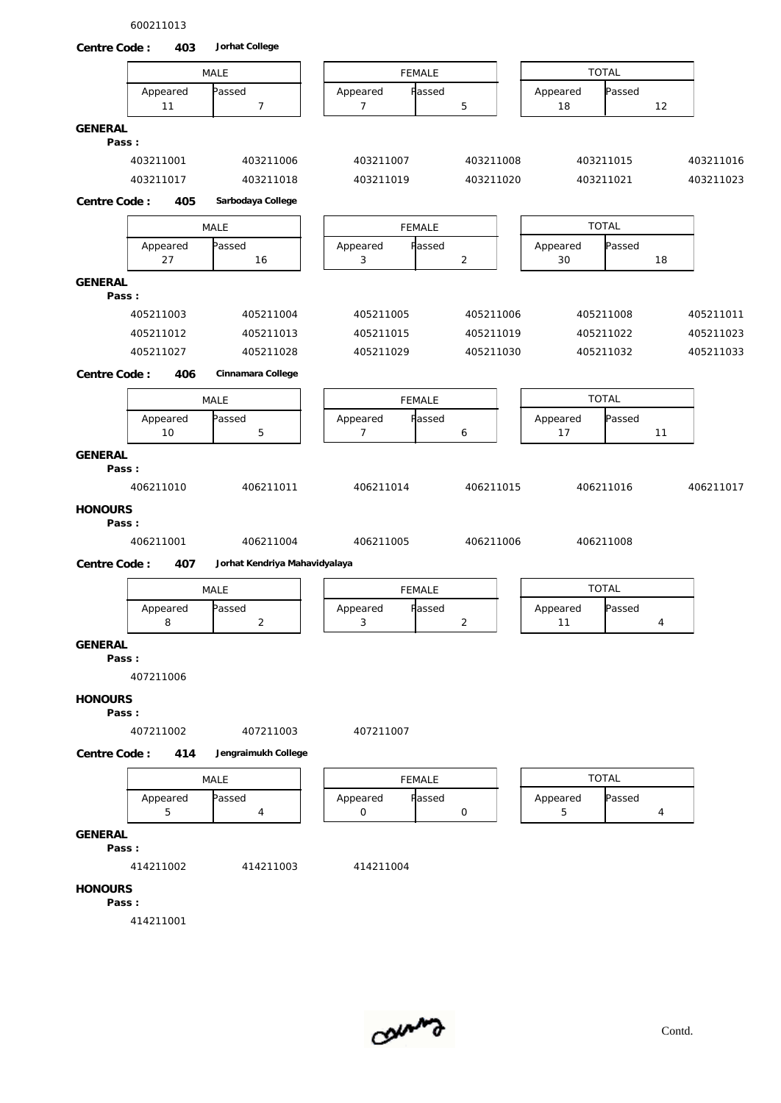600211013



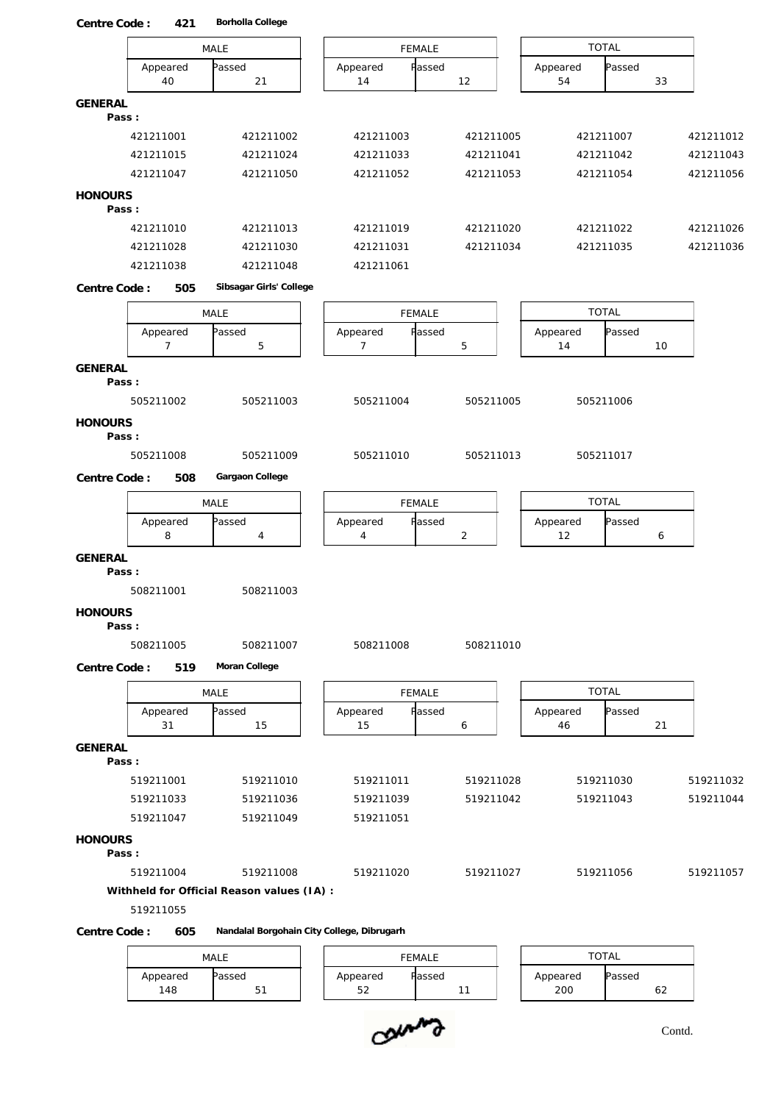| Centre Code:<br>421        | Borholla College                           |                          |                |                |              |           |
|----------------------------|--------------------------------------------|--------------------------|----------------|----------------|--------------|-----------|
|                            | MALE                                       | <b>FEMALE</b>            |                |                | <b>TOTAL</b> |           |
| Appeared<br>40             | Passed<br>21                               | Appeared<br>Passed<br>14 | 12             | Appeared<br>54 | Passed<br>33 |           |
| GENERAL<br>Pass:           |                                            |                          |                |                |              |           |
| 421211001                  | 421211002                                  | 421211003                | 421211005      |                | 421211007    | 421211012 |
| 421211015                  | 421211024                                  | 421211033                | 421211041      |                | 421211042    | 421211043 |
| 421211047                  | 421211050                                  | 421211052                | 421211053      |                | 421211054    | 421211056 |
| <b>HONOURS</b><br>Pass:    |                                            |                          |                |                |              |           |
| 421211010                  | 421211013                                  | 421211019                | 421211020      |                | 421211022    | 421211026 |
| 421211028                  | 421211030                                  | 421211031                | 421211034      |                | 421211035    | 421211036 |
| 421211038                  | 421211048                                  | 421211061                |                |                |              |           |
| Centre Code:<br>505        | Sibsagar Girls' College                    |                          |                |                |              |           |
|                            | MALE                                       | <b>FEMALE</b>            |                |                | <b>TOTAL</b> |           |
| Appeared<br>$\overline{7}$ | Passed<br>5                                | Appeared<br>Passed<br>7  | 5              | Appeared<br>14 | Passed<br>10 |           |
| <b>GENERAL</b><br>Pass:    |                                            |                          |                |                |              |           |
| 505211002                  | 505211003                                  | 505211004                | 505211005      |                | 505211006    |           |
| <b>HONOURS</b><br>Pass:    |                                            |                          |                |                |              |           |
| 505211008                  | 505211009                                  | 505211010                | 505211013      |                | 505211017    |           |
| Centre Code:<br>508        | Gargaon College                            |                          |                |                |              |           |
|                            | MALE                                       | <b>FEMALE</b>            |                |                | <b>TOTAL</b> |           |
| Appeared<br>8              | Passed<br>$\overline{4}$                   | Appeared<br>Passed<br>4  | $\overline{2}$ | Appeared<br>12 | Passed<br>6  |           |
| <b>GENERAL</b><br>Pass:    |                                            |                          |                |                |              |           |
| 508211001                  | 508211003                                  |                          |                |                |              |           |
| <b>HONOURS</b><br>Pass:    |                                            |                          |                |                |              |           |
| 508211005                  | 508211007                                  | 508211008                | 508211010      |                |              |           |
| Centre Code:<br>519        | Moran College                              |                          |                |                |              |           |
|                            |                                            |                          |                |                |              |           |
|                            | MALE                                       | <b>FEMALE</b>            |                |                | <b>TOTAL</b> |           |
| Appeared<br>31             | Passed<br>15                               | Appeared<br>Passed<br>15 | 6              | Appeared<br>46 | Passed<br>21 |           |
| GENERAL<br>Pass:           |                                            |                          |                |                |              |           |
| 519211001                  | 519211010                                  | 519211011                | 519211028      |                | 519211030    | 519211032 |
| 519211033                  | 519211036                                  | 519211039                | 519211042      |                | 519211043    | 519211044 |
| 519211047                  | 519211049                                  | 519211051                |                |                |              |           |
| <b>HONOURS</b><br>Pass:    |                                            |                          |                |                |              |           |
| 519211004                  | 519211008                                  | 519211020                | 519211027      |                | 519211056    | 519211057 |
| 519211055                  | Withheld for Official Reason values (IA) : |                          |                |                |              |           |
| Centre Code:<br>605        | Nandalal Borgohain City College, Dibrugarh |                          |                |                |              |           |
|                            |                                            |                          |                |                |              |           |

# MALE | | FEMALE | | TOTAL | Appeared Passed | Appeared Passed | Appeared Passed |



148 | 51 | 52 | 11 | 200 | 62 |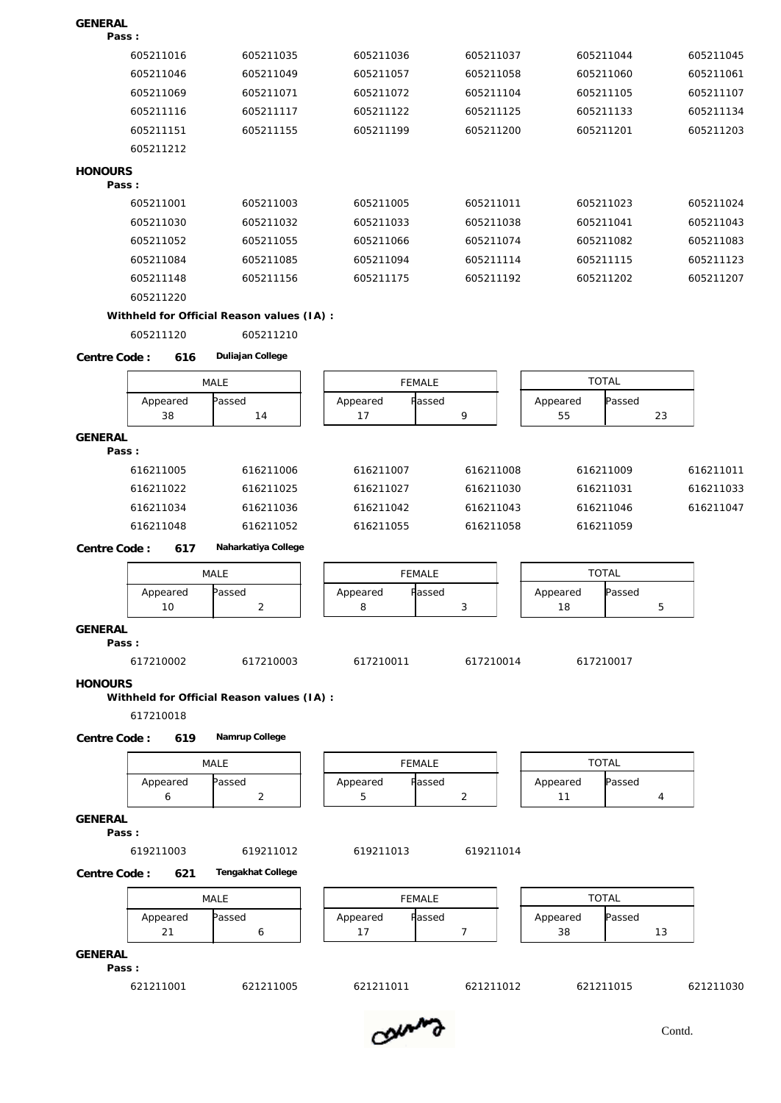| GENERAL                     |                                            |                           |                |                          |           |
|-----------------------------|--------------------------------------------|---------------------------|----------------|--------------------------|-----------|
| Pass:                       |                                            |                           |                |                          |           |
| 605211016                   | 605211035                                  | 605211036                 | 605211037      | 605211044                | 605211045 |
| 605211046                   | 605211049                                  | 605211057                 | 605211058      | 605211060                | 605211061 |
| 605211069                   | 605211071                                  | 605211072                 | 605211104      | 605211105                | 605211107 |
| 605211116                   | 605211117                                  | 605211122                 | 605211125      | 605211133                | 605211134 |
| 605211151                   | 605211155                                  | 605211199                 | 605211200      | 605211201                | 605211203 |
| 605211212                   |                                            |                           |                |                          |           |
| <b>HONOURS</b><br>Pass:     |                                            |                           |                |                          |           |
| 605211001                   | 605211003                                  | 605211005                 | 605211011      | 605211023                | 605211024 |
| 605211030                   | 605211032                                  | 605211033                 | 605211038      | 605211041                | 605211043 |
| 605211052                   | 605211055                                  | 605211066                 | 605211074      | 605211082                | 605211083 |
| 605211084                   | 605211085                                  | 605211094                 | 605211114      | 605211115                | 605211123 |
| 605211148                   | 605211156                                  | 605211175                 | 605211192      | 605211202                | 605211207 |
| 605211220                   |                                            |                           |                |                          |           |
|                             | Withheld for Official Reason values (IA) : |                           |                |                          |           |
| 605211120                   | 605211210                                  |                           |                |                          |           |
| Centre Code:<br>616         | Duliajan College                           |                           |                |                          |           |
|                             | MALE                                       | <b>FEMALE</b>             |                | <b>TOTAL</b>             |           |
| Appeared                    | Passed                                     | Passed<br>Appeared        |                | Passed<br>Appeared       |           |
| 38                          | 14                                         | 17                        | 9              | 55                       | 23        |
| GENERAL<br>Pass:            |                                            |                           |                |                          |           |
| 616211005                   | 616211006                                  | 616211007                 | 616211008      | 616211009                | 616211011 |
| 616211022                   | 616211025                                  | 616211027                 | 616211030      | 616211031                | 616211033 |
| 616211034                   | 616211036                                  | 616211042                 | 616211043      | 616211046                | 616211047 |
| 616211048                   | 616211052                                  | 616211055                 | 616211058      | 616211059                |           |
| Centre Code:<br>617         | Naharkatiya College                        |                           |                |                          |           |
|                             |                                            |                           |                | <b>TOTAL</b>             |           |
|                             | MALE                                       | <b>FEMALE</b><br>Appeared |                | Passed                   |           |
| Appeared<br>10              | Passed<br>$\overline{2}$                   | Passed<br>8               | 3              | Appeared<br>18           | 5         |
| <b>GENERAL</b><br>Pass:     |                                            |                           |                |                          |           |
| 617210002                   | 617210003                                  | 617210011                 | 617210014      | 617210017                |           |
| <b>HONOURS</b><br>617210018 | Withheld for Official Reason values (IA) : |                           |                |                          |           |
| Centre Code:<br>619         | Namrup College                             |                           |                |                          |           |
|                             | MALE                                       | <b>FEMALE</b>             |                | <b>TOTAL</b>             |           |
| Appeared<br>6               | Passed<br>$\overline{2}$                   | Appeared<br>Passed<br>5   | $\overline{2}$ | Appeared<br>Passed<br>11 | 4         |
|                             |                                            |                           |                |                          |           |
| <b>GENERAL</b><br>Pass:     |                                            |                           |                |                          |           |
| 619211003                   | 619211012                                  | 619211013                 | 619211014      |                          |           |
| Centre Code:<br>621         | Tengakhat College                          |                           |                |                          |           |
|                             | MALE                                       | FEMALE                    |                | <b>TOTAL</b>             |           |
| Appeared                    | Passed                                     | Appeared<br>Passed        |                | Appeared<br>Passed       |           |
| 21                          | 6                                          | 17                        | 7              | 38                       | 13        |
| <b>GENERAL</b><br>Pass:     |                                            |                           |                |                          |           |
| 621211001                   | 621211005                                  | 621211011                 | 621211012      | 621211015                | 621211030 |
|                             |                                            |                           |                |                          |           |

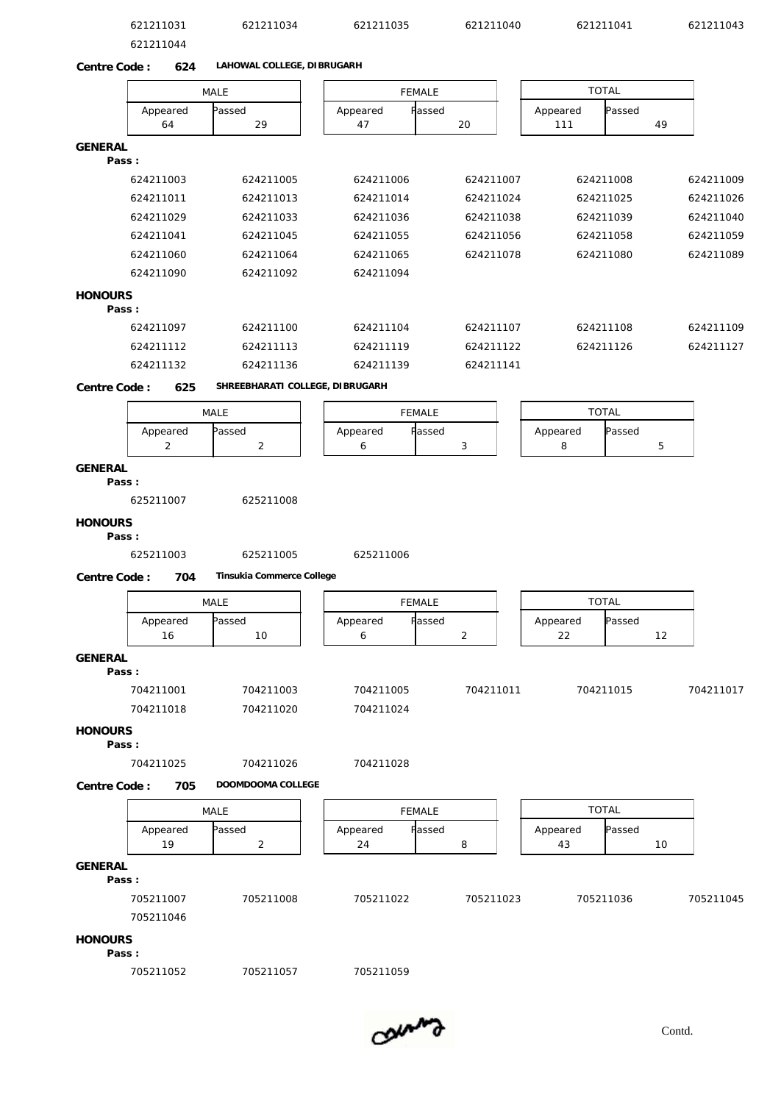|                | 621211031<br>621211044 | 621211034                       | 621211035                | 621211040      | 621211041       |              | 621211043 |
|----------------|------------------------|---------------------------------|--------------------------|----------------|-----------------|--------------|-----------|
| Centre Code:   | 624                    | LAHOWAL COLLEGE, DIBRUGARH      |                          |                |                 |              |           |
|                |                        | MALE                            | <b>FEMALE</b>            |                | <b>TOTAL</b>    |              |           |
|                | Appeared<br>64         | assed<br>29                     | Passed<br>Appeared<br>47 | 20             | Appeared<br>111 | Passed<br>49 |           |
| <b>GENERAL</b> |                        |                                 |                          |                |                 |              |           |
|                | Pass:                  |                                 |                          |                |                 |              |           |
|                | 624211003              | 624211005                       | 624211006                | 624211007      | 624211008       |              | 624211009 |
|                | 624211011              | 624211013                       | 624211014                | 624211024      | 624211025       |              | 624211026 |
|                | 624211029              | 624211033                       | 624211036                | 624211038      | 624211039       |              | 624211040 |
|                | 624211041              | 624211045                       | 624211055                | 624211056      | 624211058       |              | 624211059 |
|                | 624211060              | 624211064                       | 624211065                | 624211078      | 624211080       |              | 624211089 |
|                | 624211090              | 624211092                       | 624211094                |                |                 |              |           |
| <b>HONOURS</b> | Pass:                  |                                 |                          |                |                 |              |           |
|                | 624211097              | 624211100                       | 624211104                | 624211107      | 624211108       |              | 624211109 |
|                | 624211112              | 624211113                       | 624211119                | 624211122      | 624211126       |              | 624211127 |
|                | 624211132              | 624211136                       | 624211139                | 624211141      |                 |              |           |
| Centre Code:   | 625                    | SHREEBHARATI COLLEGE, DIBRUGARH |                          |                |                 |              |           |
|                |                        | MALE                            | <b>FEMALE</b>            |                | <b>TOTAL</b>    |              |           |
|                | Appeared<br>2          | assed<br>$\overline{c}$         | Appeared<br>Passed<br>6  | 3              | Appeared<br>8   | Passed<br>5  |           |
| GENERAL        | Pass:<br>625211007     | 625211008                       |                          |                |                 |              |           |
| <b>HONOURS</b> | Pass:                  |                                 |                          |                |                 |              |           |
|                | 625211003              | 625211005                       | 625211006                |                |                 |              |           |
| Centre Code:   | 704                    | Tinsukia Commerce College       |                          |                |                 |              |           |
|                |                        |                                 |                          |                |                 |              |           |
|                |                        | MALE                            | FEMALE                   |                | <b>TOTAL</b>    |              |           |
|                | Appeared<br>16         | Passed<br>10                    | Appeared<br>Passed<br>6  | $\overline{2}$ | Appeared<br>22  | Passed<br>12 |           |
| <b>GENERAL</b> |                        |                                 |                          |                |                 |              |           |
|                | Pass:<br>704211001     | 704211003                       | 704211005                | 704211011      | 704211015       |              | 704211017 |
|                | 704211018              | 704211020                       | 704211024                |                |                 |              |           |
|                |                        |                                 |                          |                |                 |              |           |
| <b>HONOURS</b> | Pass:                  |                                 |                          |                |                 |              |           |
|                | 704211025              | 704211026                       | 704211028                |                |                 |              |           |
| Centre Code:   | 705                    | DOOMDOOMA COLLEGE               |                          |                |                 |              |           |
|                |                        | MALE                            | <b>FEMALE</b>            |                | <b>TOTAL</b>    |              |           |
|                | Appeared               | Passed                          | Passed<br>Appeared       |                | Appeared        | Passed       |           |
|                | 19                     | $\overline{2}$                  | 24                       | 8              | 43              | 10           |           |
| <b>GENERAL</b> |                        |                                 |                          |                |                 |              |           |
|                | Pass:                  |                                 |                          |                |                 |              |           |
|                | 705211007              | 705211008                       | 705211022                | 705211023      | 705211036       |              | 705211045 |
|                |                        |                                 |                          |                |                 |              |           |
|                | 705211046              |                                 |                          |                |                 |              |           |
| <b>HONOURS</b> | Pass:                  |                                 |                          |                |                 |              |           |